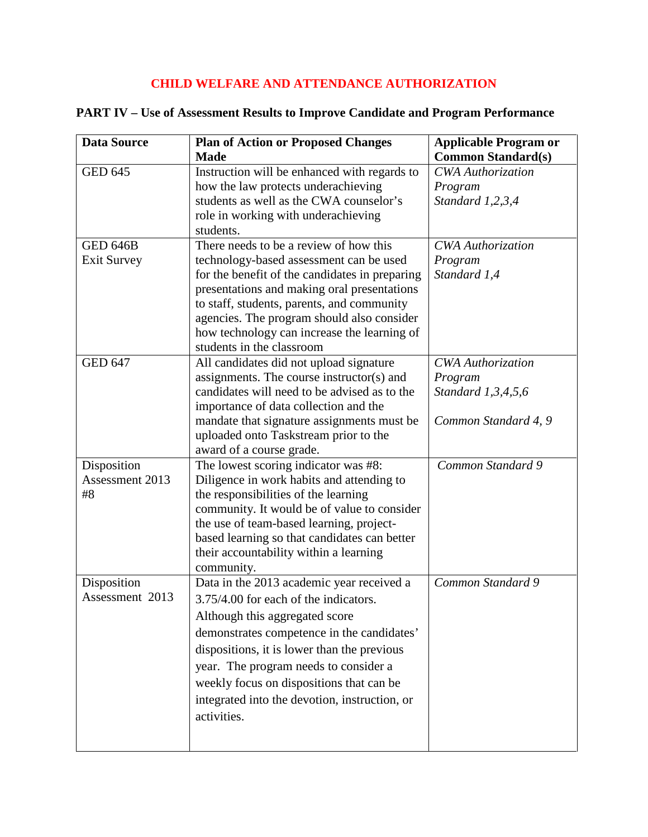## **CHILD WELFARE AND ATTENDANCE AUTHORIZATION**

| <b>Data Source</b>   | <b>Plan of Action or Proposed Changes</b>      | <b>Applicable Program or</b> |
|----------------------|------------------------------------------------|------------------------------|
|                      | <b>Made</b>                                    | <b>Common Standard(s)</b>    |
| GED $64\overline{5}$ | Instruction will be enhanced with regards to   | <b>CWA</b> Authorization     |
|                      | how the law protects underachieving            | Program                      |
|                      | students as well as the CWA counselor's        | Standard 1,2,3,4             |
|                      | role in working with underachieving            |                              |
|                      | students.                                      |                              |
| <b>GED 646B</b>      | There needs to be a review of how this         | <b>CWA</b> Authorization     |
| <b>Exit Survey</b>   | technology-based assessment can be used        | Program                      |
|                      | for the benefit of the candidates in preparing | Standard 1,4                 |
|                      | presentations and making oral presentations    |                              |
|                      | to staff, students, parents, and community     |                              |
|                      | agencies. The program should also consider     |                              |
|                      | how technology can increase the learning of    |                              |
|                      | students in the classroom                      |                              |
| <b>GED 647</b>       | All candidates did not upload signature        | <b>CWA</b> Authorization     |
|                      | assignments. The course instructor(s) and      | Program                      |
|                      | candidates will need to be advised as to the   | Standard 1,3,4,5,6           |
|                      | importance of data collection and the          |                              |
|                      | mandate that signature assignments must be     | Common Standard 4, 9         |
|                      | uploaded onto Taskstream prior to the          |                              |
|                      | award of a course grade.                       |                              |
| Disposition          | The lowest scoring indicator was #8:           | Common Standard 9            |
| Assessment 2013      | Diligence in work habits and attending to      |                              |
| #8                   | the responsibilities of the learning           |                              |
|                      | community. It would be of value to consider    |                              |
|                      | the use of team-based learning, project-       |                              |
|                      | based learning so that candidates can better   |                              |
|                      | their accountability within a learning         |                              |
|                      | community.                                     |                              |
| Disposition          | Data in the 2013 academic year received a      | Common Standard 9            |
| Assessment 2013      | 3.75/4.00 for each of the indicators.          |                              |
|                      | Although this aggregated score                 |                              |
|                      |                                                |                              |
|                      | demonstrates competence in the candidates'     |                              |
|                      | dispositions, it is lower than the previous    |                              |
|                      | year. The program needs to consider a          |                              |
|                      | weekly focus on dispositions that can be       |                              |
|                      | integrated into the devotion, instruction, or  |                              |
|                      | activities.                                    |                              |
|                      |                                                |                              |
|                      |                                                |                              |

## **PART IV – Use of Assessment Results to Improve Candidate and Program Performance**